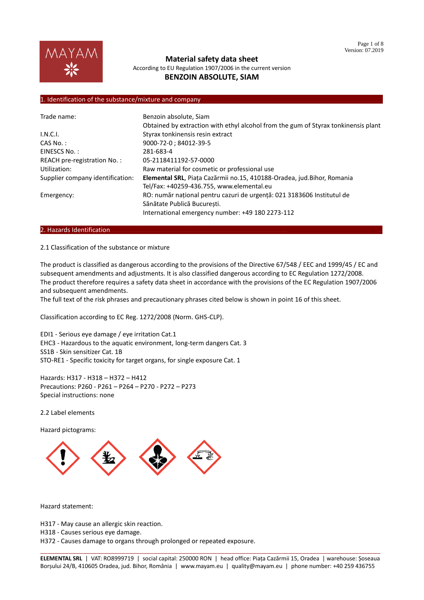

According to EU Regulation 1907/2006 in the current version **BENZOIN ABSOLUTE, SIAM**

## 1. Identification of the substance/mixture and company.

| Trade name:                      | Benzoin absolute, Siam                                                             |
|----------------------------------|------------------------------------------------------------------------------------|
|                                  | Obtained by extraction with ethyl alcohol from the gum of Styrax tonkinensis plant |
| I.N.C.I.                         | Styrax tonkinensis resin extract                                                   |
| $CAS No.$ :                      | 9000-72-0; 84012-39-5                                                              |
| EINESCS No.:                     | 281-683-4                                                                          |
| REACH pre-registration No.:      | 05-2118411192-57-0000                                                              |
| Utilization:                     | Raw material for cosmetic or professional use                                      |
| Supplier company identification: | Elemental SRL, Piața Cazărmii no.15, 410188-Oradea, jud.Bihor, Romania             |
|                                  | Tel/Fax: +40259-436.755, www.elemental.eu                                          |
| Emergency:                       | RO: număr național pentru cazuri de urgență: 021 3183606 Institutul de             |
|                                  | Sănătate Publică Bucuresti.                                                        |
|                                  | International emergency number: +49 180 2273-112                                   |

#### 2. Hazards Identification...

### 2.1 Classification of the substance or mixture

The product is classified as dangerous according to the provisions of the Directive 67/548 / EEC and 1999/45 / EC and subsequent amendments and adjustments. It is also classified dangerous according to EC Regulation 1272/2008. The product therefore requires a safety data sheet in accordance with the provisions of the EC Regulation 1907/2006 and subsequent amendments.

The full text of the risk phrases and precautionary phrases cited below is shown in point 16 of this sheet.

Classification according to EC Reg. 1272/2008 (Norm. GHS-CLP).

EDI1 - Serious eye damage / eye irritation Cat.1 EHC3 - Hazardous to the aquatic environment, long-term dangers Cat. 3 SS1B - Skin sensitizer Cat. 1B STO-RE1 - Specific toxicity for target organs, for single exposure Cat. 1

Hazards: H317 - H318 – H372 – H412 Precautions: P260 - P261 – P264 – P270 - P272 – P273 Special instructions: none

2.2 Label elements

Hazard pictograms:



Hazard statement:

H317 - May cause an allergic skin reaction.

H318 - Causes serious eye damage.

H372 - Causes damage to organs through prolonged or repeated exposure.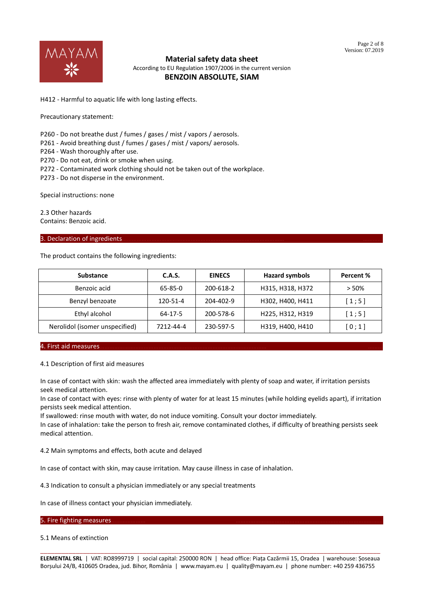

According to EU Regulation 1907/2006 in the current version **BENZOIN ABSOLUTE, SIAM**

H412 - Harmful to aquatic life with long lasting effects.

Precautionary statement:

P260 - Do not breathe dust / fumes / gases / mist / vapors / aerosols.

P261 - Avoid breathing dust / fumes / gases / mist / vapors/ aerosols.

P264 - Wash thoroughly after use.

P270 - Do not eat, drink or smoke when using.

P272 - Contaminated work clothing should not be taken out of the workplace.

P273 - Do not disperse in the environment.

Special instructions: none

2.3 Other hazards Contains: Benzoic acid.

### 3. Declaration of ingredients.

The product contains the following ingredients:

| <b>Substance</b>               | C.A.S.    | <b>EINECS</b> | <b>Hazard symbols</b> | Percent % |
|--------------------------------|-----------|---------------|-----------------------|-----------|
| Benzoic acid                   | 65-85-0   | 200-618-2     | H315, H318, H372      | > 50%     |
| Benzyl benzoate                | 120-51-4  | 204-402-9     | H302, H400, H411      | [1;5]     |
| Ethyl alcohol                  | 64-17-5   | 200-578-6     | H225, H312, H319      | [1;5]     |
| Nerolidol (isomer unspecified) | 7212-44-4 | 230-597-5     | H319, H400, H410      | [0;1]     |

### 4. First aid measures………………………………………………………………………………………… ………

#### 4.1 Description of first aid measures

In case of contact with skin: wash the affected area immediately with plenty of soap and water, if irritation persists seek medical attention.

In case of contact with eyes: rinse with plenty of water for at least 15 minutes (while holding eyelids apart), if irritation persists seek medical attention.

If swallowed: rinse mouth with water, do not induce vomiting. Consult your doctor immediately.

In case of inhalation: take the person to fresh air, remove contaminated clothes, if difficulty of breathing persists seek medical attention.

4.2 Main symptoms and effects, both acute and delayed

In case of contact with skin, may cause irritation. May cause illness in case of inhalation.

4.3 Indication to consult a physician immediately or any special treatments

In case of illness contact your physician immediately.

#### 5. Fire fighting measures.

5.1 Means of extinction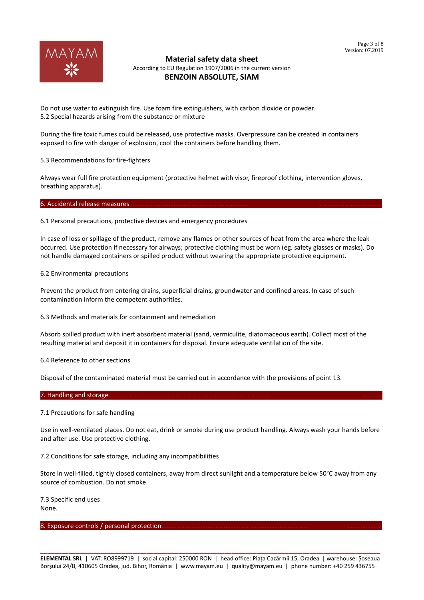

According to EU Regulation 1907/2006 in the current version **BENZOIN ABSOLUTE, SIAM**

Do not use water to extinguish fire. Use foam fire extinguishers, with carbon dioxide or powder. 5.2 Special hazards arising from the substance or mixture

During the fire toxic fumes could be released, use protective masks. Overpressure can be created in containers exposed to fire with danger of explosion, cool the containers before handling them.

5.3 Recommendations for fire-fighters

Always wear full fire protection equipment (protective helmet with visor, fireproof clothing, intervention gloves, breathing apparatus).

6. Accidental release measures.

6.1 Personal precautions, protective devices and emergency procedures

In case of loss or spillage of the product, remove any flames or other sources of heat from the area where the leak occurred. Use protection if necessary for airways; protective clothing must be worn (eg. safety glasses or masks). Do not handle damaged containers or spilled product without wearing the appropriate protective equipment.

6.2 Environmental precautions

Prevent the product from entering drains, superficial drains, groundwater and confined areas. In case of such contamination inform the competent authorities.

6.3 Methods and materials for containment and remediation

Absorb spilled product with inert absorbent material (sand, vermiculite, diatomaceous earth). Collect most of the resulting material and deposit it in containers for disposal. Ensure adequate ventilation of the site.

6.4 Reference to other sections

Disposal of the contaminated material must be carried out in accordance with the provisions of point 13.

### 7. Handling and storage.

7.1 Precautions for safe handling

Use in well-ventilated places. Do not eat, drink or smoke during use product handling. Always wash your hands before and after use. Use protective clothing.

7.2 Conditions for safe storage, including any incompatibilities

Store in well-filled, tightly closed containers, away from direct sunlight and a temperature below 50°C away from any source of combustion. Do not smoke.

7.3 Specific end uses None.

### 8. Exposure controls / personal protection.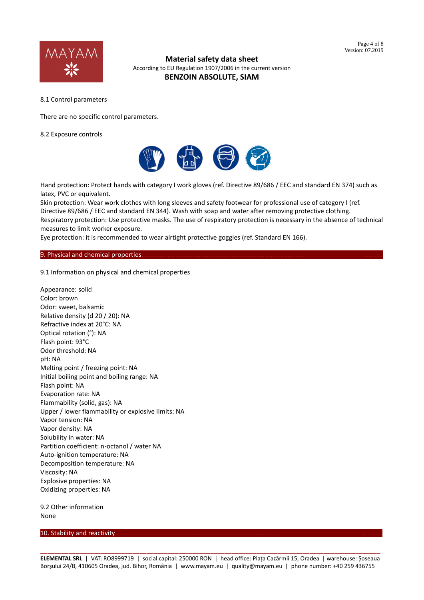

According to EU Regulation 1907/2006 in the current version **BENZOIN ABSOLUTE, SIAM**

8.1 Control parameters

There are no specific control parameters.

8.2 Exposure controls



Hand protection: Protect hands with category I work gloves (ref. Directive 89/686 / EEC and standard EN 374) such as latex, PVC or equivalent.

Skin protection: Wear work clothes with long sleeves and safety footwear for professional use of category I (ref. Directive 89/686 / EEC and standard EN 344). Wash with soap and water after removing protective clothing. Respiratory protection: Use protective masks. The use of respiratory protection is necessary in the absence of technical measures to limit worker exposure.

Eye protection: it is recommended to wear airtight protective goggles (ref. Standard EN 166).

### 9. Physical and chemical properties.

9.1 Information on physical and chemical properties

Appearance: solid Color: brown Odor: sweet, balsamic Relative density (d 20 / 20): NA Refractive index at 20°C: NA Optical rotation (°): NA Flash point: 93°C Odor threshold: NA pH: NA Melting point / freezing point: NA Initial boiling point and boiling range: NA Flash point: NA Evaporation rate: NA Flammability (solid, gas): NA Upper / lower flammability or explosive limits: NA Vapor tension: NA Vapor density: NA Solubility in water: NA Partition coefficient: n-octanol / water NA Auto-ignition temperature: NA Decomposition temperature: NA Viscosity: NA Explosive properties: NA Oxidizing properties: NA

9.2 Other information None

10. Stability and reactivity.

\_\_\_\_\_\_\_\_\_\_\_\_\_\_\_\_\_\_\_\_\_\_\_\_\_\_\_\_\_\_\_\_\_\_\_\_\_\_\_\_\_\_\_\_\_\_\_\_\_\_\_\_\_\_\_\_\_\_\_\_\_\_\_\_\_\_\_\_\_\_\_\_\_\_\_\_\_\_\_\_\_\_\_\_\_\_\_\_\_\_\_\_\_\_\_\_ **ELEMENTAL SRL** | VAT: RO8999719 | social capital: 250000 RON | head office: Piața Cazărmii 15, Oradea | warehouse: Șoseaua Borșului 24/B, 410605 Oradea, jud. Bihor, România | www.mayam.eu | quality@mayam.eu | phone number: +40 259 436755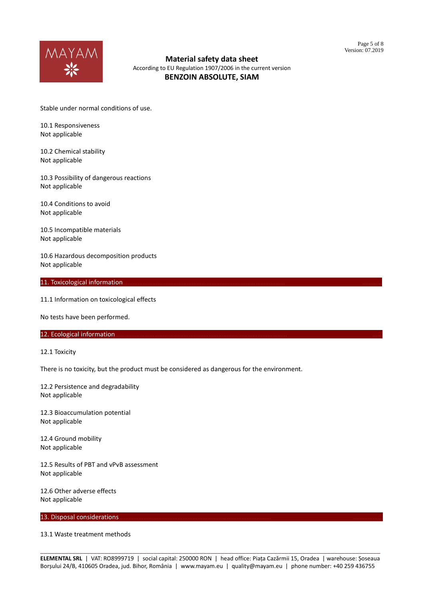

According to EU Regulation 1907/2006 in the current version **BENZOIN ABSOLUTE, SIAM**

Stable under normal conditions of use.

10.1 Responsiveness Not applicable

10.2 Chemical stability Not applicable

10.3 Possibility of dangerous reactions Not applicable

10.4 Conditions to avoid Not applicable

10.5 Incompatible materials Not applicable

10.6 Hazardous decomposition products Not applicable

### 11. Toxicological information.

11.1 Information on toxicological effects

No tests have been performed.

### 12. Ecological information.

12.1 Toxicity

There is no toxicity, but the product must be considered as dangerous for the environment.

12.2 Persistence and degradability Not applicable

12.3 Bioaccumulation potential Not applicable

12.4 Ground mobility Not applicable

12.5 Results of PBT and vPvB assessment Not applicable

12.6 Other adverse effects Not applicable

13. Disposal considerations

13.1 Waste treatment methods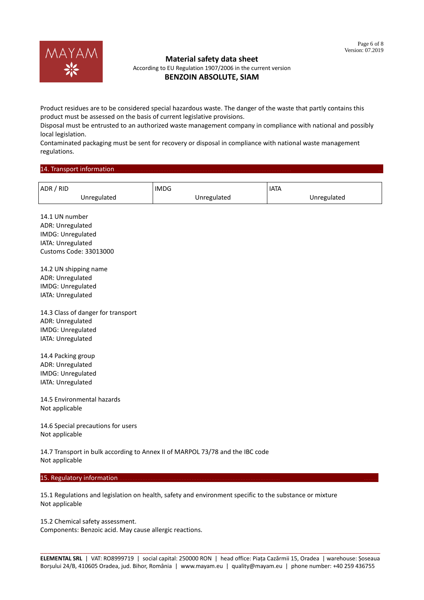

According to EU Regulation 1907/2006 in the current version **BENZOIN ABSOLUTE, SIAM**

Product residues are to be considered special hazardous waste. The danger of the waste that partly contains this product must be assessed on the basis of current legislative provisions.

Disposal must be entrusted to an authorized waste management company in compliance with national and possibly local legislation.

Contaminated packaging must be sent for recovery or disposal in compliance with national waste management regulations.

### 14. Transport information

| ADR / RID   | <b>IMDG</b> | <b>IATA</b> |
|-------------|-------------|-------------|
| Unregulated | Unregulated | Unregulated |

14.1 UN number ADR: Unregulated IMDG: Unregulated IATA: Unregulated Customs Code: 33013000

14.2 UN shipping name ADR: Unregulated IMDG: Unregulated IATA: Unregulated

14.3 Class of danger for transport ADR: Unregulated IMDG: Unregulated IATA: Unregulated

14.4 Packing group ADR: Unregulated IMDG: Unregulated IATA: Unregulated

14.5 Environmental hazards Not applicable

14.6 Special precautions for users Not applicable

14.7 Transport in bulk according to Annex II of MARPOL 73/78 and the IBC code Not applicable

### 15. Regulatory information.

15.1 Regulations and legislation on health, safety and environment specific to the substance or mixture Not applicable

15.2 Chemical safety assessment. Components: Benzoic acid. May cause allergic reactions.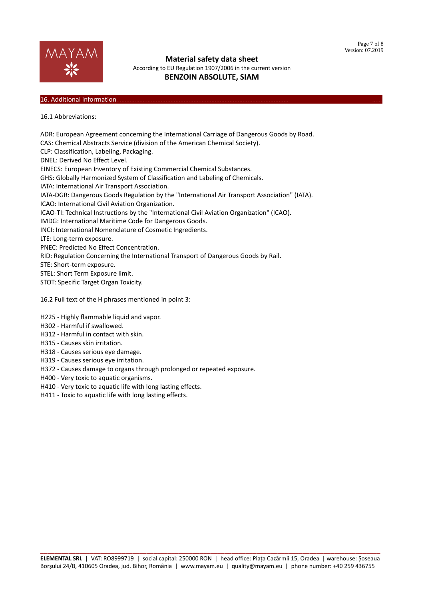

According to EU Regulation 1907/2006 in the current version **BENZOIN ABSOLUTE, SIAM**

# 16. Additional information

16.1 Abbreviations:

ADR: European Agreement concerning the International Carriage of Dangerous Goods by Road. CAS: Chemical Abstracts Service (division of the American Chemical Society). CLP: Classification, Labeling, Packaging. DNEL: Derived No Effect Level. EINECS: European Inventory of Existing Commercial Chemical Substances. GHS: Globally Harmonized System of Classification and Labeling of Chemicals. IATA: International Air Transport Association. IATA-DGR: Dangerous Goods Regulation by the "International Air Transport Association" (IATA). ICAO: International Civil Aviation Organization. ICAO-TI: Technical Instructions by the "International Civil Aviation Organization" (ICAO). IMDG: International Maritime Code for Dangerous Goods. INCI: International Nomenclature of Cosmetic Ingredients. LTE: Long-term exposure. PNEC: Predicted No Effect Concentration. RID: Regulation Concerning the International Transport of Dangerous Goods by Rail. STE: Short-term exposure. STEL: Short Term Exposure limit. STOT: Specific Target Organ Toxicity. 16.2 Full text of the H phrases mentioned in point 3: H225 - Highly flammable liquid and vapor. H302 - Harmful if swallowed. H312 - Harmful in contact with skin.

- H315 Causes skin irritation.
- H318 Causes serious eye damage.
- H319 Causes serious eye irritation.
- H372 Causes damage to organs through prolonged or repeated exposure.
- H400 Very toxic to aquatic organisms.
- H410 Very toxic to aquatic life with long lasting effects.
- H411 Toxic to aquatic life with long lasting effects.